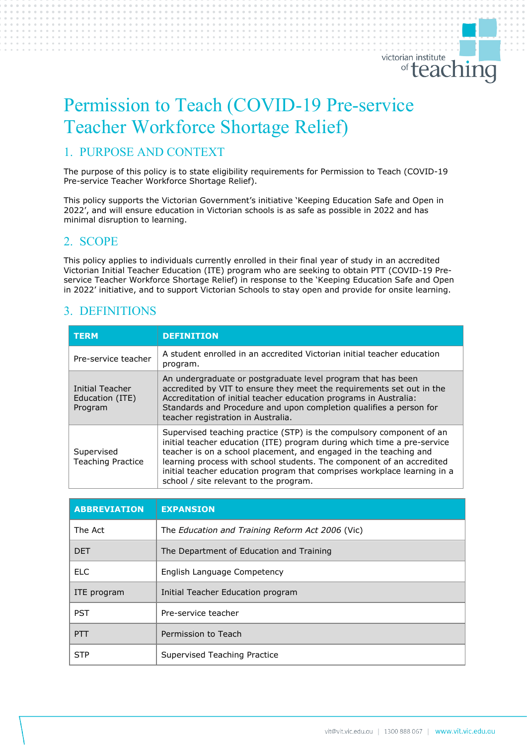# Permission to Teach (COVID-19 Pre-service Teacher Workforce Shortage Relief)

# 1. PURPOSE AND CONTEXT

The purpose of this policy is to state eligibility requirements for Permission to Teach (COVID-19 Pre-service Teacher Workforce Shortage Relief).

This policy supports the Victorian Government's initiative 'Keeping Education Safe and Open in 2022', and will ensure education in Victorian schools is as safe as possible in 2022 and has minimal disruption to learning.

### 2. SCOPE

This policy applies to individuals currently enrolled in their final year of study in an accredited Victorian Initial Teacher Education (ITE) program who are seeking to obtain PTT (COVID-19 Preservice Teacher Workforce Shortage Relief) in response to the 'Keeping Education Safe and Open in 2022' initiative, and to support Victorian Schools to stay open and provide for onsite learning.

# 3. DEFINITIONS

| <b>TERM</b>                                   | <b>DEFINITION</b>                                                                                                                                                                                                                                                                                                                                                                                                   |
|-----------------------------------------------|---------------------------------------------------------------------------------------------------------------------------------------------------------------------------------------------------------------------------------------------------------------------------------------------------------------------------------------------------------------------------------------------------------------------|
| Pre-service teacher                           | A student enrolled in an accredited Victorian initial teacher education<br>program.                                                                                                                                                                                                                                                                                                                                 |
| Initial Teacher<br>Education (ITE)<br>Program | An undergraduate or postgraduate level program that has been<br>accredited by VIT to ensure they meet the requirements set out in the<br>Accreditation of initial teacher education programs in Australia:<br>Standards and Procedure and upon completion qualifies a person for<br>teacher registration in Australia.                                                                                              |
| Supervised<br><b>Teaching Practice</b>        | Supervised teaching practice (STP) is the compulsory component of an<br>initial teacher education (ITE) program during which time a pre-service<br>teacher is on a school placement, and engaged in the teaching and<br>learning process with school students. The component of an accredited<br>initial teacher education program that comprises workplace learning in a<br>school / site relevant to the program. |

| <b>ABBREVIATION</b> | <b>EXPANSION</b>                                 |
|---------------------|--------------------------------------------------|
| The Act             | The Education and Training Reform Act 2006 (Vic) |
| <b>DFT</b>          | The Department of Education and Training         |
| <b>ELC</b>          | English Language Competency                      |
| ITE program         | Initial Teacher Education program                |
| <b>PST</b>          | Pre-service teacher                              |
| PTT                 | Permission to Teach                              |
| <b>STP</b>          | Supervised Teaching Practice                     |

victorian institute

<sup>of</sup> teaching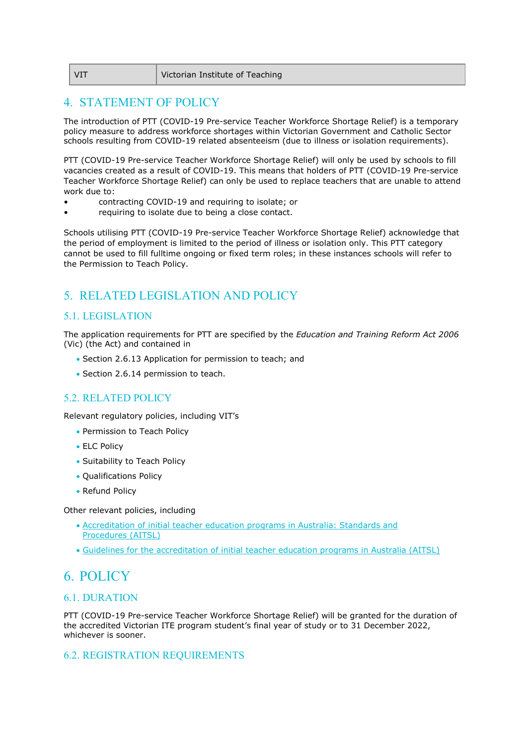| l VIT | Victorian Institute of Teaching |
|-------|---------------------------------|
|       |                                 |

# 4. STATEMENT OF POLICY

The introduction of PTT (COVID-19 Pre-service Teacher Workforce Shortage Relief) is a temporary policy measure to address workforce shortages within Victorian Government and Catholic Sector schools resulting from COVID-19 related absenteeism (due to illness or isolation requirements).

PTT (COVID-19 Pre-service Teacher Workforce Shortage Relief) will only be used by schools to fill vacancies created as a result of COVID-19. This means that holders of PTT (COVID-19 Pre-service Teacher Workforce Shortage Relief) can only be used to replace teachers that are unable to attend work due to:

- contracting COVID-19 and requiring to isolate; or
- requiring to isolate due to being a close contact.

Schools utilising PTT (COVID-19 Pre-service Teacher Workforce Shortage Relief) acknowledge that the period of employment is limited to the period of illness or isolation only. This PTT category cannot be used to fill fulltime ongoing or fixed term roles; in these instances schools will refer to the Permission to Teach Policy.

# 5. RELATED LEGISLATION AND POLICY

### 5.1. LEGISLATION

The application requirements for PTT are specified by the *Education and Training Reform Act 2006* (Vic) (the Act) and contained in

- Section 2.6.13 Application for permission to teach; and
- Section 2.6.14 permission to teach.

### 5.2. RELATED POLICY

Relevant regulatory policies, including VIT's

- Permission to Teach Policy
- ELC Policy
- Suitability to Teach Policy
- Qualifications Policy
- Refund Policy

Other relevant policies, including

- [Accreditation of initial teacher education programs in Australia: Standards and](https://www.aitsl.edu.au/docs/default-source/national-policy-framework/accreditation-of-initial-teacher-education-programs-in-australia.pdf)  [Procedures](https://www.aitsl.edu.au/docs/default-source/national-policy-framework/accreditation-of-initial-teacher-education-programs-in-australia.pdf) (AITSL)
- [Guidelines for the accreditation of initial teacher education programs in Australia \(AITSL\)](https://www.aitsl.edu.au/docs/default-source/default-document-library/accreditation_guidelines_2021_17-feb-2021_contents_web_final.pdf?sfvrsn=9276dd3c_0)

# 6. POLICY

### 6.1. DURATION

PTT (COVID-19 Pre-service Teacher Workforce Shortage Relief) will be granted for the duration of the accredited Victorian ITE program student's final year of study or to 31 December 2022, whichever is sooner.

### 6.2. REGISTRATION REQUIREMENTS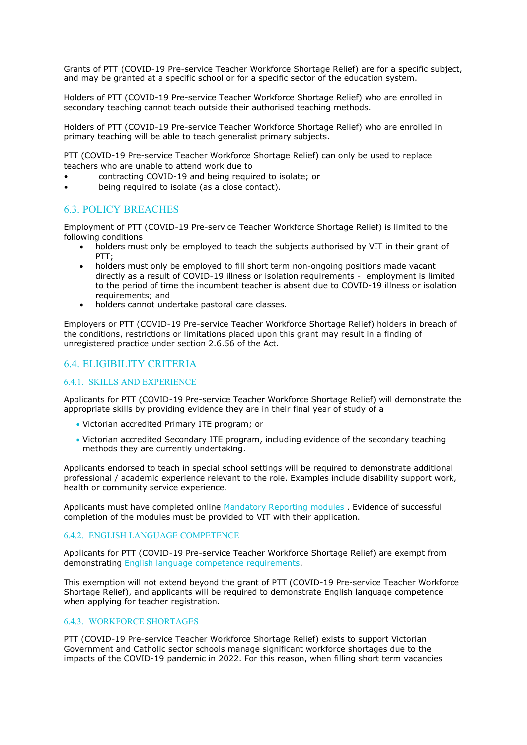Grants of PTT (COVID-19 Pre-service Teacher Workforce Shortage Relief) are for a specific subject, and may be granted at a specific school or for a specific sector of the education system.

Holders of PTT (COVID-19 Pre-service Teacher Workforce Shortage Relief) who are enrolled in secondary teaching cannot teach outside their authorised teaching methods.

Holders of PTT (COVID-19 Pre-service Teacher Workforce Shortage Relief) who are enrolled in primary teaching will be able to teach generalist primary subjects.

PTT (COVID-19 Pre-service Teacher Workforce Shortage Relief) can only be used to replace teachers who are unable to attend work due to

- contracting COVID-19 and being required to isolate; or
- being required to isolate (as a close contact).

### 6.3. POLICY BREACHES

Employment of PTT (COVID-19 Pre-service Teacher Workforce Shortage Relief) is limited to the following conditions

- holders must only be employed to teach the subjects authorised by VIT in their grant of PTT;
- holders must only be employed to fill short term non-ongoing positions made vacant directly as a result of COVID-19 illness or isolation requirements - employment is limited to the period of time the incumbent teacher is absent due to COVID-19 illness or isolation requirements; and
- holders cannot undertake pastoral care classes.

Employers or PTT (COVID-19 Pre-service Teacher Workforce Shortage Relief) holders in breach of the conditions, restrictions or limitations placed upon this grant may result in a finding of unregistered practice under section 2.6.56 of the Act.

### 6.4. ELIGIBILITY CRITERIA

#### 6.4.1. SKILLS AND EXPERIENCE

Applicants for PTT (COVID-19 Pre-service Teacher Workforce Shortage Relief) will demonstrate the appropriate skills by providing evidence they are in their final year of study of a

- Victorian accredited Primary ITE program; or
- Victorian accredited Secondary ITE program, including evidence of the secondary teaching methods they are currently undertaking.

Applicants endorsed to teach in special school settings will be required to demonstrate additional professional / academic experience relevant to the role. Examples include disability support work, health or community service experience.

Applicants must have completed online [Mandatory Reporting modules](https://elearn.childlink.com.au/login/index.php) . Evidence of successful completion of the modules must be provided to VIT with their application.

#### 6.4.2. ENGLISH LANGUAGE COMPETENCE

Applicants for PTT (COVID-19 Pre-service Teacher Workforce Shortage Relief) are exempt from demonstrating [English language competence requirements.](https://www.vit.vic.edu.au/sites/default/files/media/pdf/2021-08/Policy_EnglishLanguage_20210730.pdf)

This exemption will not extend beyond the grant of PTT (COVID-19 Pre-service Teacher Workforce Shortage Relief), and applicants will be required to demonstrate English language competence when applying for teacher registration.

#### 6.4.3. WORKFORCE SHORTAGES

PTT (COVID-19 Pre-service Teacher Workforce Shortage Relief) exists to support Victorian Government and Catholic sector schools manage significant workforce shortages due to the impacts of the COVID-19 pandemic in 2022. For this reason, when filling short term vacancies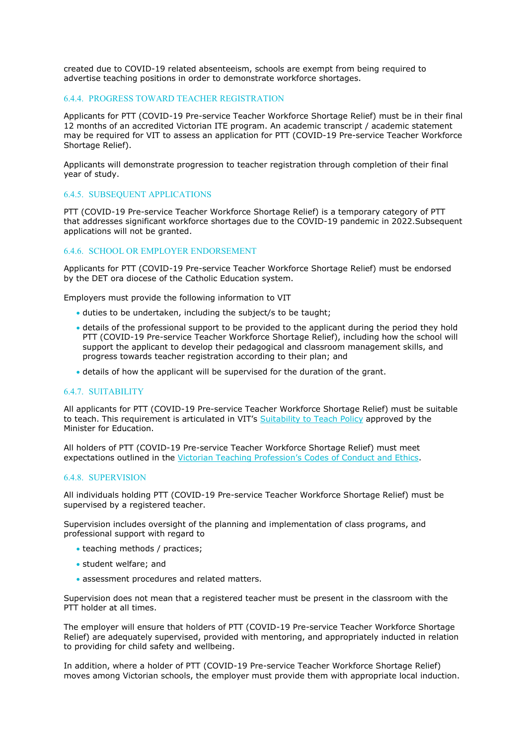created due to COVID-19 related absenteeism, schools are exempt from being required to advertise teaching positions in order to demonstrate workforce shortages.

#### 6.4.4. PROGRESS TOWARD TEACHER REGISTRATION

Applicants for PTT (COVID-19 Pre-service Teacher Workforce Shortage Relief) must be in their final 12 months of an accredited Victorian ITE program. An academic transcript / academic statement may be required for VIT to assess an application for PTT (COVID-19 Pre-service Teacher Workforce Shortage Relief).

Applicants will demonstrate progression to teacher registration through completion of their final year of study.

#### 6.4.5. SUBSEQUENT APPLICATIONS

PTT (COVID-19 Pre-service Teacher Workforce Shortage Relief) is a temporary category of PTT that addresses significant workforce shortages due to the COVID-19 pandemic in 2022.Subsequent applications will not be granted.

#### 6.4.6. SCHOOL OR EMPLOYER ENDORSEMENT

Applicants for PTT (COVID-19 Pre-service Teacher Workforce Shortage Relief) must be endorsed by the DET ora diocese of the Catholic Education system.

Employers must provide the following information to VIT

- duties to be undertaken, including the subject/s to be taught;
- details of the professional support to be provided to the applicant during the period they hold PTT (COVID-19 Pre-service Teacher Workforce Shortage Relief), including how the school will support the applicant to develop their pedagogical and classroom management skills, and progress towards teacher registration according to their plan; and
- details of how the applicant will be supervised for the duration of the grant.

#### 6.4.7. SUITABILITY

All applicants for PTT (COVID-19 Pre-service Teacher Workforce Shortage Relief) must be suitable to teach. This requirement is articulated in VIT's [Suitability to Teach Policy](https://www.vit.vic.edu.au/sites/default/files/media/pdf/2021-07/Suitability_Policy.pdf) approved by the Minister for Education.

All holders of PTT (COVID-19 Pre-service Teacher Workforce Shortage Relief) must meet expectations outlined in the [Victorian Teaching Profession's Codes of Conduct and Ethics.](https://www.vit.vic.edu.au/maintain/conduct/codes)

#### 6.4.8. SUPERVISION

All individuals holding PTT (COVID-19 Pre-service Teacher Workforce Shortage Relief) must be supervised by a registered teacher.

Supervision includes oversight of the planning and implementation of class programs, and professional support with regard to

- teaching methods / practices;
- student welfare; and
- assessment procedures and related matters.

Supervision does not mean that a registered teacher must be present in the classroom with the PTT holder at all times.

The employer will ensure that holders of PTT (COVID-19 Pre-service Teacher Workforce Shortage Relief) are adequately supervised, provided with mentoring, and appropriately inducted in relation to providing for child safety and wellbeing.

In addition, where a holder of PTT (COVID-19 Pre-service Teacher Workforce Shortage Relief) moves among Victorian schools, the employer must provide them with appropriate local induction.